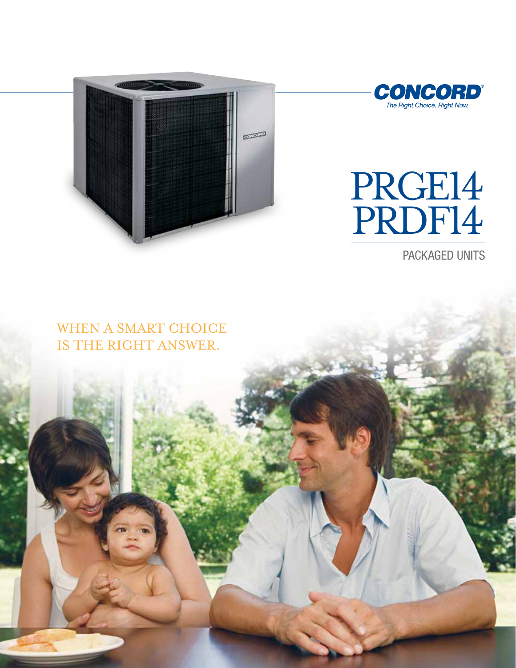



# PRGE14 PRDF14

PACKAGED UNITS

## WHEN A SMART CHOICE IS THE RIGHT ANSWER.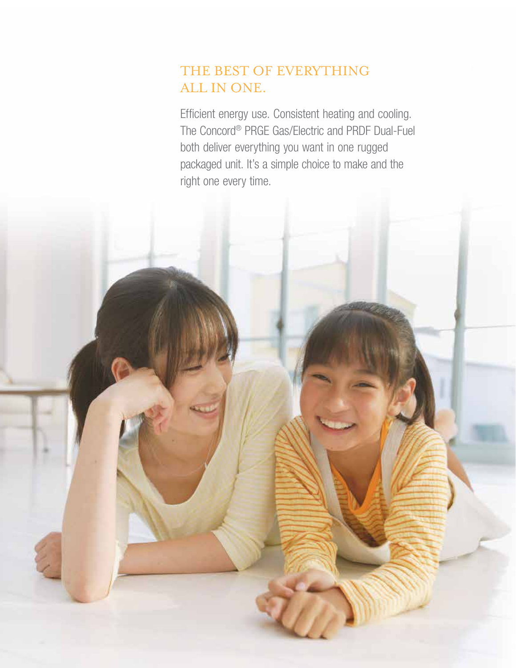## THE BEST OF EVERYTHING ALL IN ONE.

Efficient energy use. Consistent heating and cooling. The Concord® PRGE Gas/Electric and PRDF Dual-Fuel both deliver everything you want in one rugged packaged unit. It's a simple choice to make and the right one every time.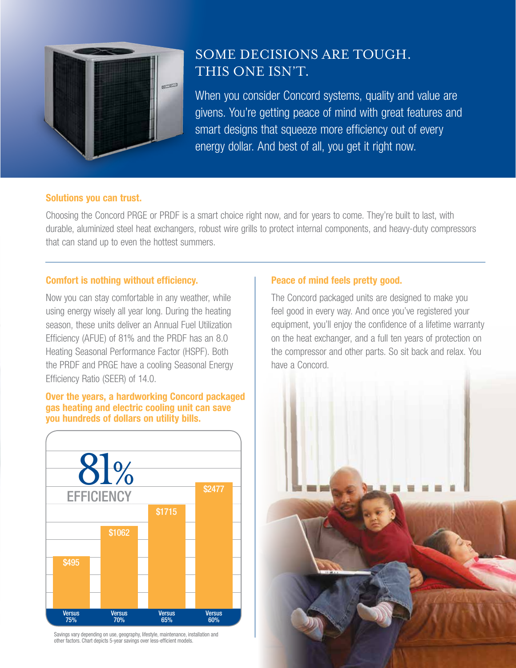

## SOME DECISIONS ARE TOUGH. THIS ONE ISN'T.

When you consider Concord systems, quality and value are givens. You're getting peace of mind with great features and smart designs that squeeze more efficiency out of every energy dollar. And best of all, you get it right now.

#### Solutions you can trust.

Choosing the Concord PRGE or PRDF is a smart choice right now, and for years to come. They're built to last, with durable, aluminized steel heat exchangers, robust wire grills to protect internal components, and heavy-duty compressors that can stand up to even the hottest summers.

#### Comfort is nothing without efficiency.

Now you can stay comfortable in any weather, while using energy wisely all year long. During the heating season, these units deliver an Annual Fuel Utilization Efficiency (AFUE) of 81% and the PRDF has an 8.0 Heating Seasonal Performance Factor (HSPF). Both the PRDF and PRGE have a cooling Seasonal Energy Efficiency Ratio (SEER) of 14.0.

#### Over the years, a hardworking Concord packaged gas heating and electric cooling unit can save you hundreds of dollars on utility bills.



Savings vary depending on use, geography, lifestyle, maintenance, installation and other factors. Chart depicts 5-year savings over less-efficient models.

### Peace of mind feels pretty good.

The Concord packaged units are designed to make you feel good in every way. And once you've registered your equipment, you'll enjoy the confidence of a lifetime warranty on the heat exchanger, and a full ten years of protection on the compressor and other parts. So sit back and relax. You have a Concord.